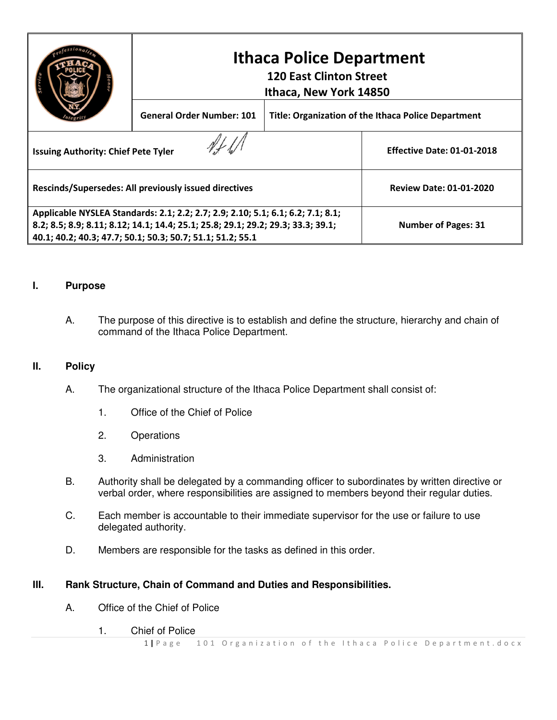|                                                                                  | <b>Ithaca Police Department</b><br><b>120 East Clinton Street</b><br>Ithaca, New York 14850 |                                                            |                                   |
|----------------------------------------------------------------------------------|---------------------------------------------------------------------------------------------|------------------------------------------------------------|-----------------------------------|
|                                                                                  | <b>General Order Number: 101</b>                                                            | <b>Title: Organization of the Ithaca Police Department</b> |                                   |
| <b>Issuing Authority: Chief Pete Tyler</b>                                       |                                                                                             |                                                            | <b>Effective Date: 01-01-2018</b> |
| Rescinds/Supersedes: All previously issued directives                            |                                                                                             |                                                            | <b>Review Date: 01-01-2020</b>    |
| Applicable NYSLEA Standards: 2.1; 2.2; 2.7; 2.9; 2.10; 5.1; 6.1; 6.2; 7.1; 8.1;  |                                                                                             |                                                            |                                   |
| 8.2; 8.5; 8.9; 8.11; 8.12; 14.1; 14.4; 25.1; 25.8; 29.1; 29.2; 29.3; 33.3; 39.1; |                                                                                             |                                                            | <b>Number of Pages: 31</b>        |
| 40.1; 40.2; 40.3; 47.7; 50.1; 50.3; 50.7; 51.1; 51.2; 55.1                       |                                                                                             |                                                            |                                   |

#### **I. Purpose**

A. The purpose of this directive is to establish and define the structure, hierarchy and chain of command of the Ithaca Police Department.

#### **II. Policy**

- A. The organizational structure of the Ithaca Police Department shall consist of:
	- 1. Office of the Chief of Police
	- 2. Operations
	- 3. Administration
- B. Authority shall be delegated by a commanding officer to subordinates by written directive or verbal order, where responsibilities are assigned to members beyond their regular duties.
- C. Each member is accountable to their immediate supervisor for the use or failure to use delegated authority.
- D. Members are responsible for the tasks as defined in this order.

#### **III. Rank Structure, Chain of Command and Duties and Responsibilities.**

- A. Office of the Chief of Police
	- 1. Chief of Police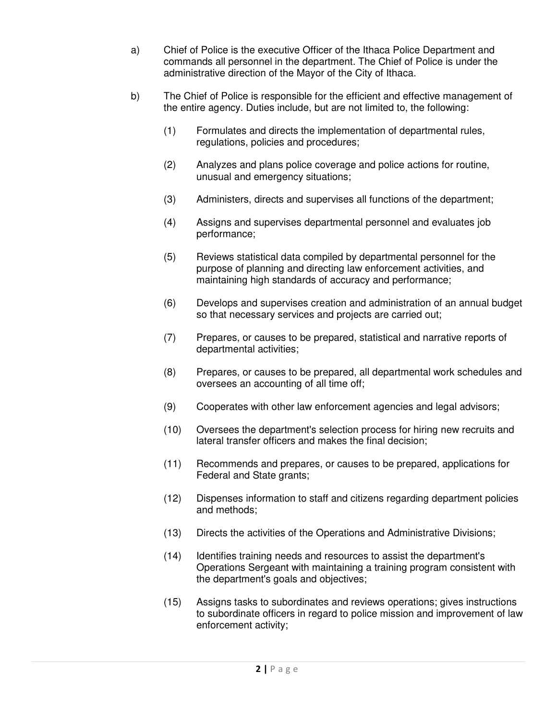- a) Chief of Police is the executive Officer of the Ithaca Police Department and commands all personnel in the department. The Chief of Police is under the administrative direction of the Mayor of the City of Ithaca.
- b) The Chief of Police is responsible for the efficient and effective management of the entire agency. Duties include, but are not limited to, the following:
	- (1) Formulates and directs the implementation of departmental rules, regulations, policies and procedures;
	- (2) Analyzes and plans police coverage and police actions for routine, unusual and emergency situations;
	- (3) Administers, directs and supervises all functions of the department;
	- (4) Assigns and supervises departmental personnel and evaluates job performance;
	- (5) Reviews statistical data compiled by departmental personnel for the purpose of planning and directing law enforcement activities, and maintaining high standards of accuracy and performance;
	- (6) Develops and supervises creation and administration of an annual budget so that necessary services and projects are carried out;
	- (7) Prepares, or causes to be prepared, statistical and narrative reports of departmental activities;
	- (8) Prepares, or causes to be prepared, all departmental work schedules and oversees an accounting of all time off;
	- (9) Cooperates with other law enforcement agencies and legal advisors;
	- (10) Oversees the department's selection process for hiring new recruits and lateral transfer officers and makes the final decision;
	- (11) Recommends and prepares, or causes to be prepared, applications for Federal and State grants;
	- (12) Dispenses information to staff and citizens regarding department policies and methods;
	- (13) Directs the activities of the Operations and Administrative Divisions;
	- (14) Identifies training needs and resources to assist the department's Operations Sergeant with maintaining a training program consistent with the department's goals and objectives;
	- (15) Assigns tasks to subordinates and reviews operations; gives instructions to subordinate officers in regard to police mission and improvement of law enforcement activity;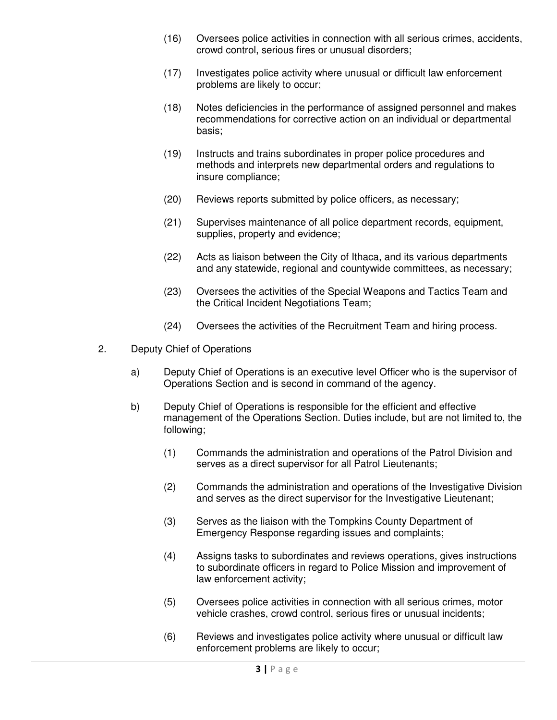- (16) Oversees police activities in connection with all serious crimes, accidents, crowd control, serious fires or unusual disorders;
- (17) Investigates police activity where unusual or difficult law enforcement problems are likely to occur;
- (18) Notes deficiencies in the performance of assigned personnel and makes recommendations for corrective action on an individual or departmental basis;
- (19) Instructs and trains subordinates in proper police procedures and methods and interprets new departmental orders and regulations to insure compliance;
- (20) Reviews reports submitted by police officers, as necessary;
- (21) Supervises maintenance of all police department records, equipment, supplies, property and evidence;
- (22) Acts as liaison between the City of Ithaca, and its various departments and any statewide, regional and countywide committees, as necessary;
- (23) Oversees the activities of the Special Weapons and Tactics Team and the Critical Incident Negotiations Team;
- (24) Oversees the activities of the Recruitment Team and hiring process.
- 2. Deputy Chief of Operations
	- a) Deputy Chief of Operations is an executive level Officer who is the supervisor of Operations Section and is second in command of the agency.
	- b) Deputy Chief of Operations is responsible for the efficient and effective management of the Operations Section. Duties include, but are not limited to, the following;
		- (1) Commands the administration and operations of the Patrol Division and serves as a direct supervisor for all Patrol Lieutenants;
		- (2) Commands the administration and operations of the Investigative Division and serves as the direct supervisor for the Investigative Lieutenant;
		- (3) Serves as the liaison with the Tompkins County Department of Emergency Response regarding issues and complaints;
		- (4) Assigns tasks to subordinates and reviews operations, gives instructions to subordinate officers in regard to Police Mission and improvement of law enforcement activity;
		- (5) Oversees police activities in connection with all serious crimes, motor vehicle crashes, crowd control, serious fires or unusual incidents;
		- (6) Reviews and investigates police activity where unusual or difficult law enforcement problems are likely to occur;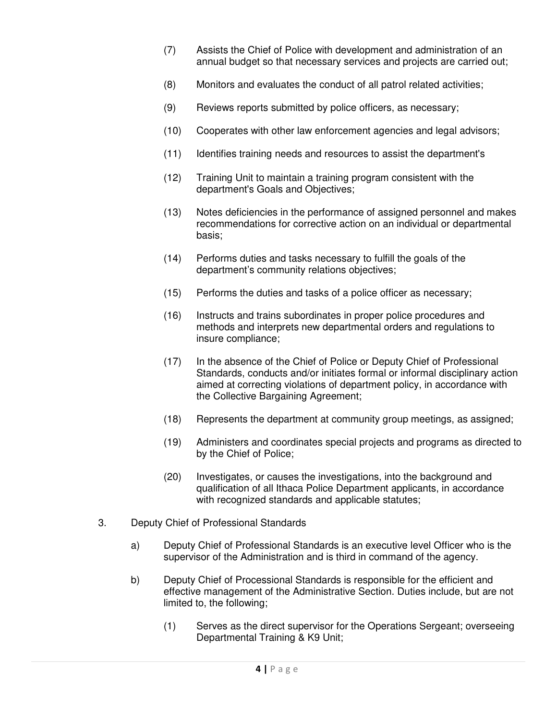- (7) Assists the Chief of Police with development and administration of an annual budget so that necessary services and projects are carried out;
- (8) Monitors and evaluates the conduct of all patrol related activities;
- (9) Reviews reports submitted by police officers, as necessary;
- (10) Cooperates with other law enforcement agencies and legal advisors;
- (11) Identifies training needs and resources to assist the department's
- (12) Training Unit to maintain a training program consistent with the department's Goals and Objectives;
- (13) Notes deficiencies in the performance of assigned personnel and makes recommendations for corrective action on an individual or departmental basis;
- (14) Performs duties and tasks necessary to fulfill the goals of the department's community relations objectives;
- (15) Performs the duties and tasks of a police officer as necessary;
- (16) Instructs and trains subordinates in proper police procedures and methods and interprets new departmental orders and regulations to insure compliance;
- (17) In the absence of the Chief of Police or Deputy Chief of Professional Standards, conducts and/or initiates formal or informal disciplinary action aimed at correcting violations of department policy, in accordance with the Collective Bargaining Agreement;
- (18) Represents the department at community group meetings, as assigned;
- (19) Administers and coordinates special projects and programs as directed to by the Chief of Police;
- (20) Investigates, or causes the investigations, into the background and qualification of all Ithaca Police Department applicants, in accordance with recognized standards and applicable statutes;
- 3. Deputy Chief of Professional Standards
	- a) Deputy Chief of Professional Standards is an executive level Officer who is the supervisor of the Administration and is third in command of the agency.
	- b) Deputy Chief of Processional Standards is responsible for the efficient and effective management of the Administrative Section. Duties include, but are not limited to, the following;
		- (1) Serves as the direct supervisor for the Operations Sergeant; overseeing Departmental Training & K9 Unit;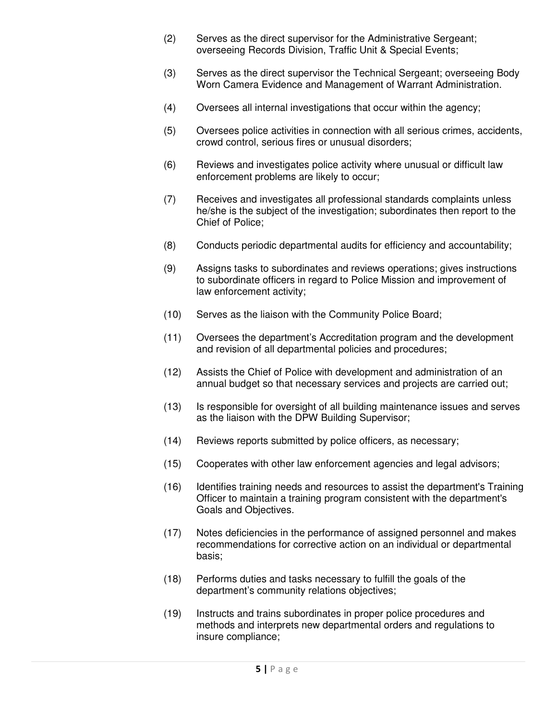- (2) Serves as the direct supervisor for the Administrative Sergeant; overseeing Records Division, Traffic Unit & Special Events;
- (3) Serves as the direct supervisor the Technical Sergeant; overseeing Body Worn Camera Evidence and Management of Warrant Administration.
- (4) Oversees all internal investigations that occur within the agency;
- (5) Oversees police activities in connection with all serious crimes, accidents, crowd control, serious fires or unusual disorders;
- (6) Reviews and investigates police activity where unusual or difficult law enforcement problems are likely to occur;
- (7) Receives and investigates all professional standards complaints unless he/she is the subject of the investigation; subordinates then report to the Chief of Police;
- (8) Conducts periodic departmental audits for efficiency and accountability;
- (9) Assigns tasks to subordinates and reviews operations; gives instructions to subordinate officers in regard to Police Mission and improvement of law enforcement activity;
- (10) Serves as the liaison with the Community Police Board;
- (11) Oversees the department's Accreditation program and the development and revision of all departmental policies and procedures;
- (12) Assists the Chief of Police with development and administration of an annual budget so that necessary services and projects are carried out;
- (13) Is responsible for oversight of all building maintenance issues and serves as the liaison with the DPW Building Supervisor;
- (14) Reviews reports submitted by police officers, as necessary;
- (15) Cooperates with other law enforcement agencies and legal advisors;
- (16) Identifies training needs and resources to assist the department's Training Officer to maintain a training program consistent with the department's Goals and Objectives.
- (17) Notes deficiencies in the performance of assigned personnel and makes recommendations for corrective action on an individual or departmental basis;
- (18) Performs duties and tasks necessary to fulfill the goals of the department's community relations objectives;
- (19) Instructs and trains subordinates in proper police procedures and methods and interprets new departmental orders and regulations to insure compliance;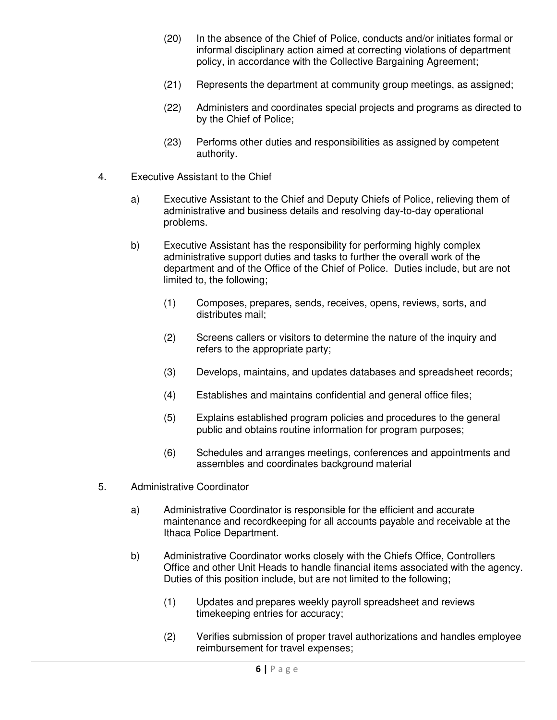- (20) In the absence of the Chief of Police, conducts and/or initiates formal or informal disciplinary action aimed at correcting violations of department policy, in accordance with the Collective Bargaining Agreement;
- (21) Represents the department at community group meetings, as assigned;
- (22) Administers and coordinates special projects and programs as directed to by the Chief of Police;
- (23) Performs other duties and responsibilities as assigned by competent authority.
- 4. Executive Assistant to the Chief
	- a) Executive Assistant to the Chief and Deputy Chiefs of Police, relieving them of administrative and business details and resolving day-to-day operational problems.
	- b) Executive Assistant has the responsibility for performing highly complex administrative support duties and tasks to further the overall work of the department and of the Office of the Chief of Police. Duties include, but are not limited to, the following;
		- (1) Composes, prepares, sends, receives, opens, reviews, sorts, and distributes mail;
		- (2) Screens callers or visitors to determine the nature of the inquiry and refers to the appropriate party;
		- (3) Develops, maintains, and updates databases and spreadsheet records;
		- (4) Establishes and maintains confidential and general office files;
		- (5) Explains established program policies and procedures to the general public and obtains routine information for program purposes;
		- (6) Schedules and arranges meetings, conferences and appointments and assembles and coordinates background material
- 5. Administrative Coordinator
	- a) Administrative Coordinator is responsible for the efficient and accurate maintenance and recordkeeping for all accounts payable and receivable at the Ithaca Police Department.
	- b) Administrative Coordinator works closely with the Chiefs Office, Controllers Office and other Unit Heads to handle financial items associated with the agency. Duties of this position include, but are not limited to the following;
		- (1) Updates and prepares weekly payroll spreadsheet and reviews timekeeping entries for accuracy;
		- (2) Verifies submission of proper travel authorizations and handles employee reimbursement for travel expenses;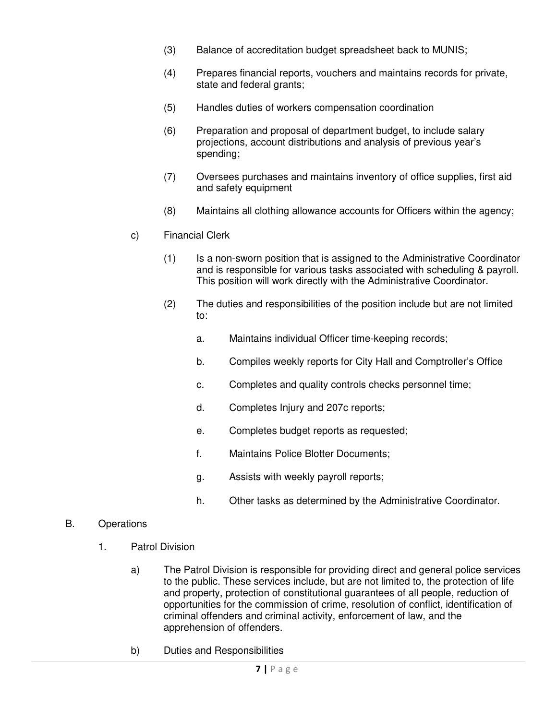- (3) Balance of accreditation budget spreadsheet back to MUNIS;
- (4) Prepares financial reports, vouchers and maintains records for private, state and federal grants;
- (5) Handles duties of workers compensation coordination
- (6) Preparation and proposal of department budget, to include salary projections, account distributions and analysis of previous year's spending;
- (7) Oversees purchases and maintains inventory of office supplies, first aid and safety equipment
- (8) Maintains all clothing allowance accounts for Officers within the agency;
- c) Financial Clerk
	- (1) Is a non-sworn position that is assigned to the Administrative Coordinator and is responsible for various tasks associated with scheduling & payroll. This position will work directly with the Administrative Coordinator.
	- (2) The duties and responsibilities of the position include but are not limited to:
		- a. Maintains individual Officer time-keeping records;
		- b. Compiles weekly reports for City Hall and Comptroller's Office
		- c. Completes and quality controls checks personnel time;
		- d. Completes Injury and 207c reports;
		- e. Completes budget reports as requested;
		- f. Maintains Police Blotter Documents;
		- g. Assists with weekly payroll reports;
		- h. Other tasks as determined by the Administrative Coordinator.

## B. Operations

- 1. Patrol Division
	- a) The Patrol Division is responsible for providing direct and general police services to the public. These services include, but are not limited to, the protection of life and property, protection of constitutional guarantees of all people, reduction of opportunities for the commission of crime, resolution of conflict, identification of criminal offenders and criminal activity, enforcement of law, and the apprehension of offenders.
	- b) Duties and Responsibilities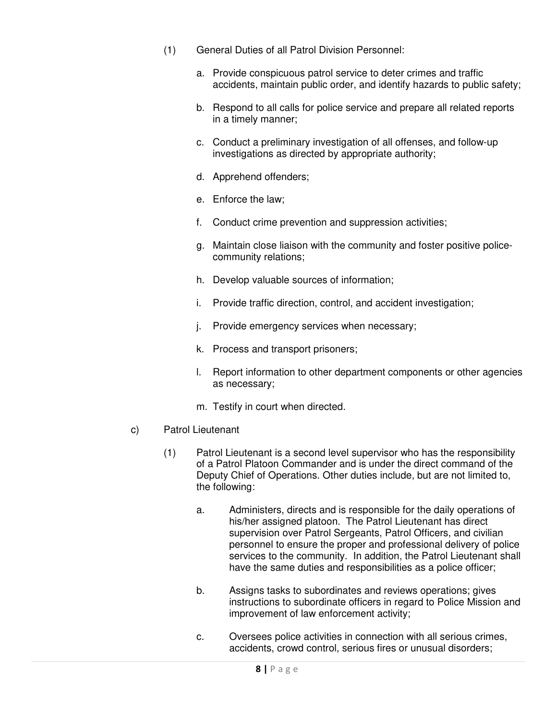- (1) General Duties of all Patrol Division Personnel:
	- a. Provide conspicuous patrol service to deter crimes and traffic accidents, maintain public order, and identify hazards to public safety;
	- b. Respond to all calls for police service and prepare all related reports in a timely manner;
	- c. Conduct a preliminary investigation of all offenses, and follow-up investigations as directed by appropriate authority;
	- d. Apprehend offenders;
	- e. Enforce the law;
	- f. Conduct crime prevention and suppression activities;
	- g. Maintain close liaison with the community and foster positive policecommunity relations;
	- h. Develop valuable sources of information;
	- i. Provide traffic direction, control, and accident investigation;
	- j. Provide emergency services when necessary;
	- k. Process and transport prisoners;
	- l. Report information to other department components or other agencies as necessary;
	- m. Testify in court when directed.
- c) Patrol Lieutenant
	- (1) Patrol Lieutenant is a second level supervisor who has the responsibility of a Patrol Platoon Commander and is under the direct command of the Deputy Chief of Operations. Other duties include, but are not limited to, the following:
		- a. Administers, directs and is responsible for the daily operations of his/her assigned platoon. The Patrol Lieutenant has direct supervision over Patrol Sergeants, Patrol Officers, and civilian personnel to ensure the proper and professional delivery of police services to the community. In addition, the Patrol Lieutenant shall have the same duties and responsibilities as a police officer;
		- b. Assigns tasks to subordinates and reviews operations; gives instructions to subordinate officers in regard to Police Mission and improvement of law enforcement activity;
		- c. Oversees police activities in connection with all serious crimes, accidents, crowd control, serious fires or unusual disorders;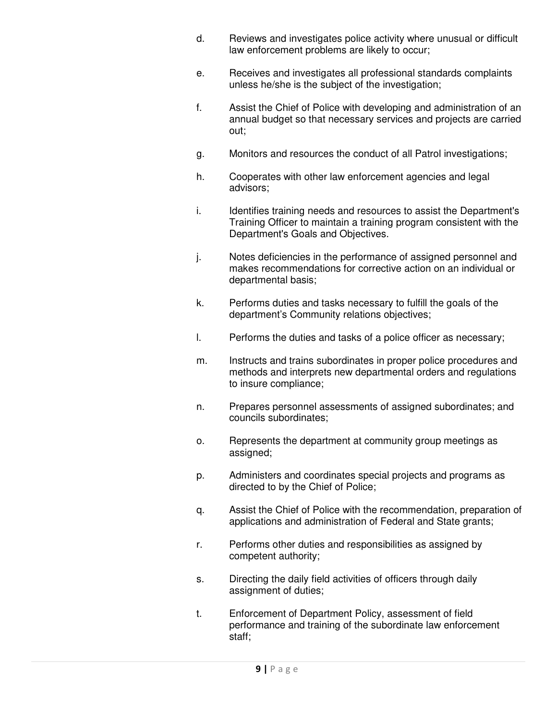- d. Reviews and investigates police activity where unusual or difficult law enforcement problems are likely to occur;
- e. Receives and investigates all professional standards complaints unless he/she is the subject of the investigation;
- f. Assist the Chief of Police with developing and administration of an annual budget so that necessary services and projects are carried out;
- g. Monitors and resources the conduct of all Patrol investigations;
- h. Cooperates with other law enforcement agencies and legal advisors;
- i. Identifies training needs and resources to assist the Department's Training Officer to maintain a training program consistent with the Department's Goals and Objectives.
- j. Notes deficiencies in the performance of assigned personnel and makes recommendations for corrective action on an individual or departmental basis;
- k. Performs duties and tasks necessary to fulfill the goals of the department's Community relations objectives;
- l. Performs the duties and tasks of a police officer as necessary;
- m. Instructs and trains subordinates in proper police procedures and methods and interprets new departmental orders and regulations to insure compliance;
- n. Prepares personnel assessments of assigned subordinates; and councils subordinates;
- o. Represents the department at community group meetings as assigned;
- p. Administers and coordinates special projects and programs as directed to by the Chief of Police;
- q. Assist the Chief of Police with the recommendation, preparation of applications and administration of Federal and State grants;
- r. Performs other duties and responsibilities as assigned by competent authority;
- s. Directing the daily field activities of officers through daily assignment of duties;
- t. Enforcement of Department Policy, assessment of field performance and training of the subordinate law enforcement staff;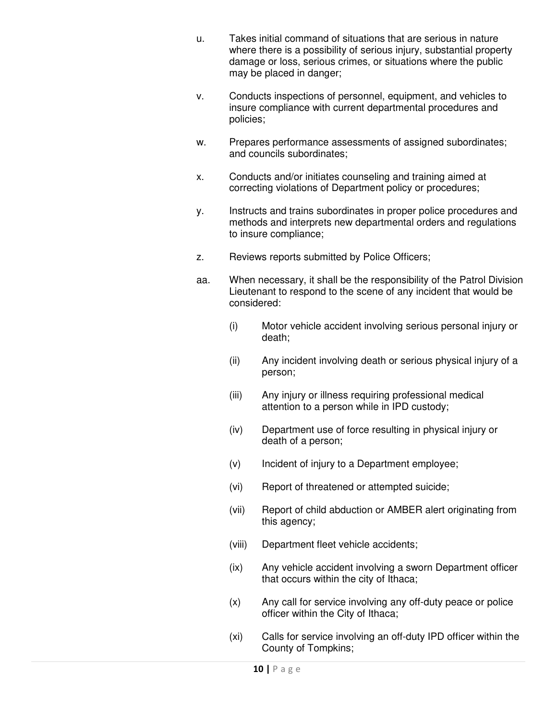- u. Takes initial command of situations that are serious in nature where there is a possibility of serious injury, substantial property damage or loss, serious crimes, or situations where the public may be placed in danger;
- v. Conducts inspections of personnel, equipment, and vehicles to insure compliance with current departmental procedures and policies;
- w. Prepares performance assessments of assigned subordinates; and councils subordinates;
- x. Conducts and/or initiates counseling and training aimed at correcting violations of Department policy or procedures;
- y. Instructs and trains subordinates in proper police procedures and methods and interprets new departmental orders and regulations to insure compliance;
- z. Reviews reports submitted by Police Officers;
- aa. When necessary, it shall be the responsibility of the Patrol Division Lieutenant to respond to the scene of any incident that would be considered:
	- (i) Motor vehicle accident involving serious personal injury or death;
	- (ii) Any incident involving death or serious physical injury of a person;
	- (iii) Any injury or illness requiring professional medical attention to a person while in IPD custody;
	- (iv) Department use of force resulting in physical injury or death of a person;
	- (v) Incident of injury to a Department employee;
	- (vi) Report of threatened or attempted suicide;
	- (vii) Report of child abduction or AMBER alert originating from this agency;
	- (viii) Department fleet vehicle accidents;
	- (ix) Any vehicle accident involving a sworn Department officer that occurs within the city of Ithaca;
	- (x) Any call for service involving any off-duty peace or police officer within the City of Ithaca;
	- (xi) Calls for service involving an off-duty IPD officer within the County of Tompkins;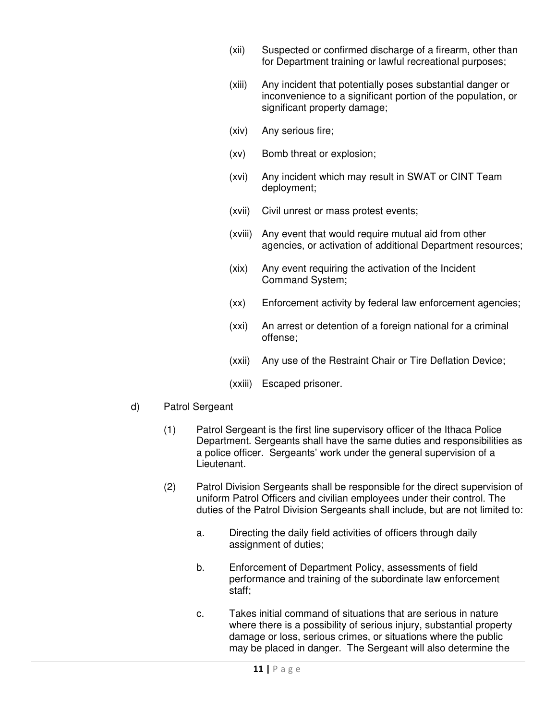- (xii) Suspected or confirmed discharge of a firearm, other than for Department training or lawful recreational purposes;
- (xiii) Any incident that potentially poses substantial danger or inconvenience to a significant portion of the population, or significant property damage;
- (xiv) Any serious fire;
- (xv) Bomb threat or explosion;
- (xvi) Any incident which may result in SWAT or CINT Team deployment;
- (xvii) Civil unrest or mass protest events;
- (xviii) Any event that would require mutual aid from other agencies, or activation of additional Department resources;
- (xix) Any event requiring the activation of the Incident Command System;
- (xx) Enforcement activity by federal law enforcement agencies;
- (xxi) An arrest or detention of a foreign national for a criminal offense;
- (xxii) Any use of the Restraint Chair or Tire Deflation Device;
- (xxiii) Escaped prisoner.
- d) Patrol Sergeant
	- (1) Patrol Sergeant is the first line supervisory officer of the Ithaca Police Department. Sergeants shall have the same duties and responsibilities as a police officer. Sergeants' work under the general supervision of a Lieutenant.
	- (2) Patrol Division Sergeants shall be responsible for the direct supervision of uniform Patrol Officers and civilian employees under their control. The duties of the Patrol Division Sergeants shall include, but are not limited to:
		- a. Directing the daily field activities of officers through daily assignment of duties;
		- b. Enforcement of Department Policy, assessments of field performance and training of the subordinate law enforcement staff;
		- c. Takes initial command of situations that are serious in nature where there is a possibility of serious injury, substantial property damage or loss, serious crimes, or situations where the public may be placed in danger. The Sergeant will also determine the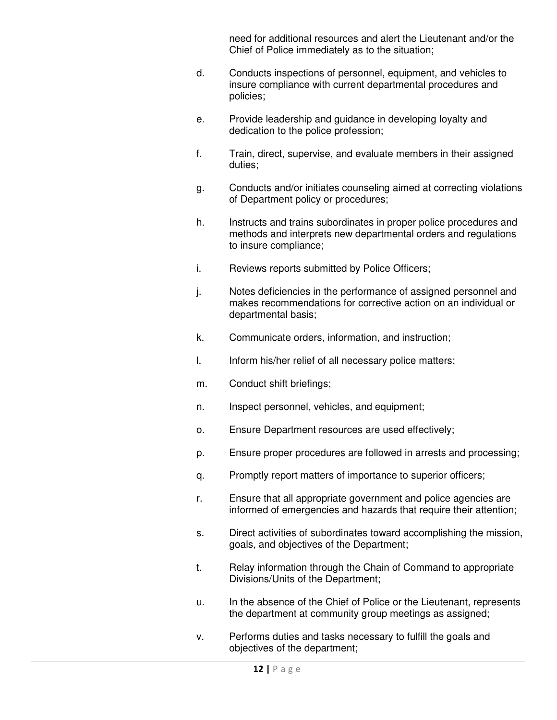need for additional resources and alert the Lieutenant and/or the Chief of Police immediately as to the situation;

- d. Conducts inspections of personnel, equipment, and vehicles to insure compliance with current departmental procedures and policies;
- e. Provide leadership and guidance in developing loyalty and dedication to the police profession;
- f. Train, direct, supervise, and evaluate members in their assigned duties;
- g. Conducts and/or initiates counseling aimed at correcting violations of Department policy or procedures;
- h. Instructs and trains subordinates in proper police procedures and methods and interprets new departmental orders and regulations to insure compliance;
- i. Reviews reports submitted by Police Officers;
- j. Notes deficiencies in the performance of assigned personnel and makes recommendations for corrective action on an individual or departmental basis;
- k. Communicate orders, information, and instruction;
- l. Inform his/her relief of all necessary police matters;
- m. Conduct shift briefings;
- n. Inspect personnel, vehicles, and equipment;
- o. Ensure Department resources are used effectively;
- p. Ensure proper procedures are followed in arrests and processing;
- q. Promptly report matters of importance to superior officers;
- r. Ensure that all appropriate government and police agencies are informed of emergencies and hazards that require their attention;
- s. Direct activities of subordinates toward accomplishing the mission, goals, and objectives of the Department;
- t. Relay information through the Chain of Command to appropriate Divisions/Units of the Department;
- u. In the absence of the Chief of Police or the Lieutenant, represents the department at community group meetings as assigned;
- v. Performs duties and tasks necessary to fulfill the goals and objectives of the department;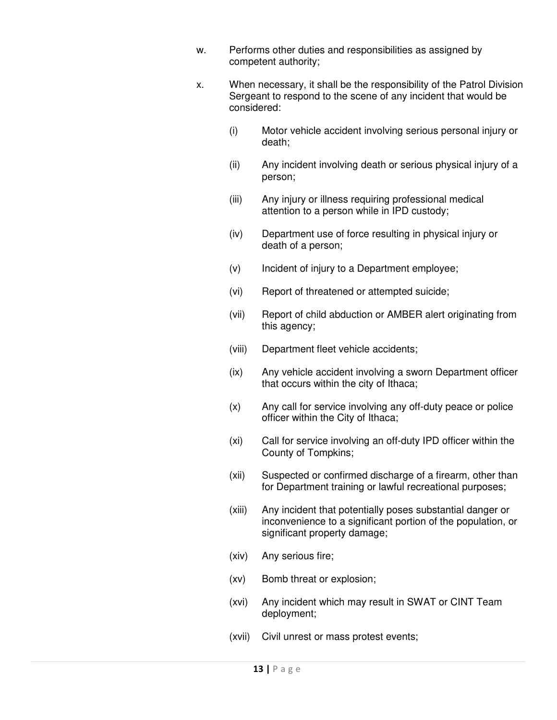- w. Performs other duties and responsibilities as assigned by competent authority;
- x. When necessary, it shall be the responsibility of the Patrol Division Sergeant to respond to the scene of any incident that would be considered:
	- (i) Motor vehicle accident involving serious personal injury or death;
	- (ii) Any incident involving death or serious physical injury of a person;
	- (iii) Any injury or illness requiring professional medical attention to a person while in IPD custody;
	- (iv) Department use of force resulting in physical injury or death of a person;
	- (v) Incident of injury to a Department employee;
	- (vi) Report of threatened or attempted suicide;
	- (vii) Report of child abduction or AMBER alert originating from this agency;
	- (viii) Department fleet vehicle accidents;
	- (ix) Any vehicle accident involving a sworn Department officer that occurs within the city of Ithaca;
	- (x) Any call for service involving any off-duty peace or police officer within the City of Ithaca;
	- (xi) Call for service involving an off-duty IPD officer within the County of Tompkins;
	- (xii) Suspected or confirmed discharge of a firearm, other than for Department training or lawful recreational purposes;
	- (xiii) Any incident that potentially poses substantial danger or inconvenience to a significant portion of the population, or significant property damage;
	- (xiv) Any serious fire;
	- (xv) Bomb threat or explosion;
	- (xvi) Any incident which may result in SWAT or CINT Team deployment;
	- (xvii) Civil unrest or mass protest events;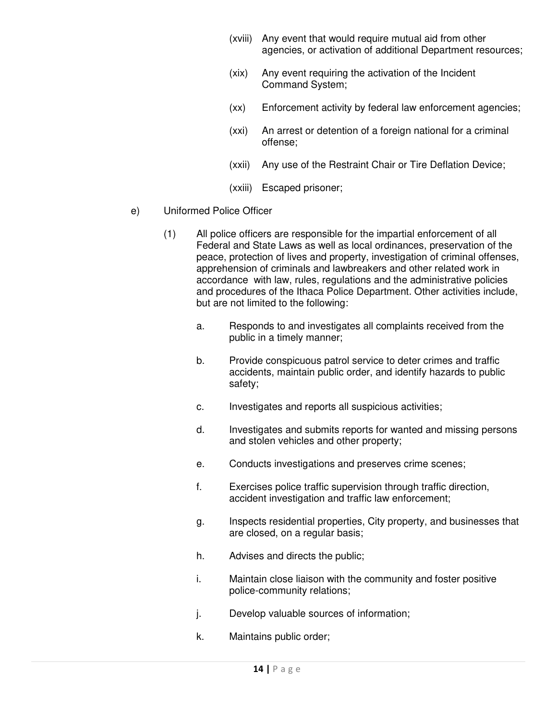- (xviii) Any event that would require mutual aid from other agencies, or activation of additional Department resources;
- (xix) Any event requiring the activation of the Incident Command System;
- (xx) Enforcement activity by federal law enforcement agencies;
- (xxi) An arrest or detention of a foreign national for a criminal offense;
- (xxii) Any use of the Restraint Chair or Tire Deflation Device;
- (xxiii) Escaped prisoner;
- e) Uniformed Police Officer
	- (1) All police officers are responsible for the impartial enforcement of all Federal and State Laws as well as local ordinances, preservation of the peace, protection of lives and property, investigation of criminal offenses, apprehension of criminals and lawbreakers and other related work in accordance with law, rules, regulations and the administrative policies and procedures of the Ithaca Police Department. Other activities include, but are not limited to the following:
		- a. Responds to and investigates all complaints received from the public in a timely manner;
		- b. Provide conspicuous patrol service to deter crimes and traffic accidents, maintain public order, and identify hazards to public safety;
		- c. Investigates and reports all suspicious activities;
		- d. Investigates and submits reports for wanted and missing persons and stolen vehicles and other property;
		- e. Conducts investigations and preserves crime scenes;
		- f. Exercises police traffic supervision through traffic direction, accident investigation and traffic law enforcement;
		- g. Inspects residential properties, City property, and businesses that are closed, on a regular basis;
		- h. Advises and directs the public;
		- i. Maintain close liaison with the community and foster positive police-community relations;
		- j. Develop valuable sources of information;
		- k. Maintains public order;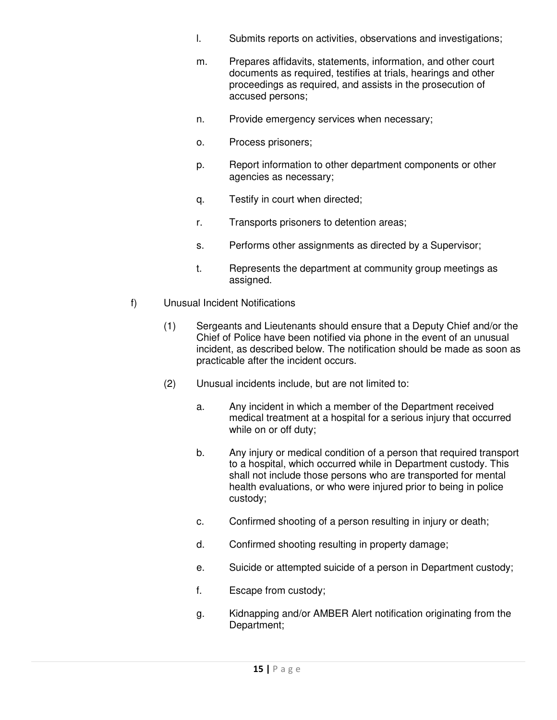- l. Submits reports on activities, observations and investigations;
- m. Prepares affidavits, statements, information, and other court documents as required, testifies at trials, hearings and other proceedings as required, and assists in the prosecution of accused persons;
- n. Provide emergency services when necessary;
- o. Process prisoners;
- p. Report information to other department components or other agencies as necessary;
- q. Testify in court when directed;
- r. Transports prisoners to detention areas;
- s. Performs other assignments as directed by a Supervisor;
- t. Represents the department at community group meetings as assigned.
- f) Unusual Incident Notifications
	- (1) Sergeants and Lieutenants should ensure that a Deputy Chief and/or the Chief of Police have been notified via phone in the event of an unusual incident, as described below. The notification should be made as soon as practicable after the incident occurs.
	- (2) Unusual incidents include, but are not limited to:
		- a. Any incident in which a member of the Department received medical treatment at a hospital for a serious injury that occurred while on or off duty;
		- b. Any injury or medical condition of a person that required transport to a hospital, which occurred while in Department custody. This shall not include those persons who are transported for mental health evaluations, or who were injured prior to being in police custody;
		- c. Confirmed shooting of a person resulting in injury or death;
		- d. Confirmed shooting resulting in property damage;
		- e. Suicide or attempted suicide of a person in Department custody;
		- f. Escape from custody;
		- g. Kidnapping and/or AMBER Alert notification originating from the Department;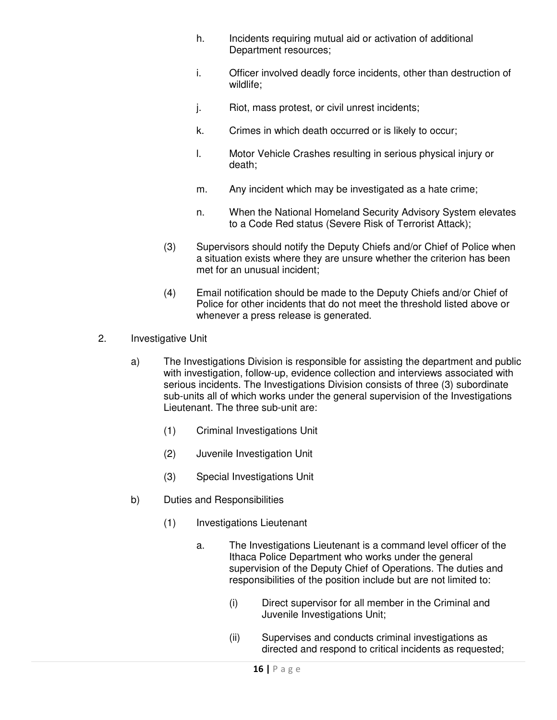- h. Incidents requiring mutual aid or activation of additional Department resources;
- i. Officer involved deadly force incidents, other than destruction of wildlife;
- j. Riot, mass protest, or civil unrest incidents;
- k. Crimes in which death occurred or is likely to occur;
- l. Motor Vehicle Crashes resulting in serious physical injury or death;
- m. Any incident which may be investigated as a hate crime;
- n. When the National Homeland Security Advisory System elevates to a Code Red status (Severe Risk of Terrorist Attack);
- (3) Supervisors should notify the Deputy Chiefs and/or Chief of Police when a situation exists where they are unsure whether the criterion has been met for an unusual incident;
- (4) Email notification should be made to the Deputy Chiefs and/or Chief of Police for other incidents that do not meet the threshold listed above or whenever a press release is generated.
- 2. Investigative Unit
	- a) The Investigations Division is responsible for assisting the department and public with investigation, follow-up, evidence collection and interviews associated with serious incidents. The Investigations Division consists of three (3) subordinate sub-units all of which works under the general supervision of the Investigations Lieutenant. The three sub-unit are:
		- (1) Criminal Investigations Unit
		- (2) Juvenile Investigation Unit
		- (3) Special Investigations Unit
	- b) Duties and Responsibilities
		- (1) Investigations Lieutenant
			- a. The Investigations Lieutenant is a command level officer of the Ithaca Police Department who works under the general supervision of the Deputy Chief of Operations. The duties and responsibilities of the position include but are not limited to:
				- (i) Direct supervisor for all member in the Criminal and Juvenile Investigations Unit;
				- (ii) Supervises and conducts criminal investigations as directed and respond to critical incidents as requested;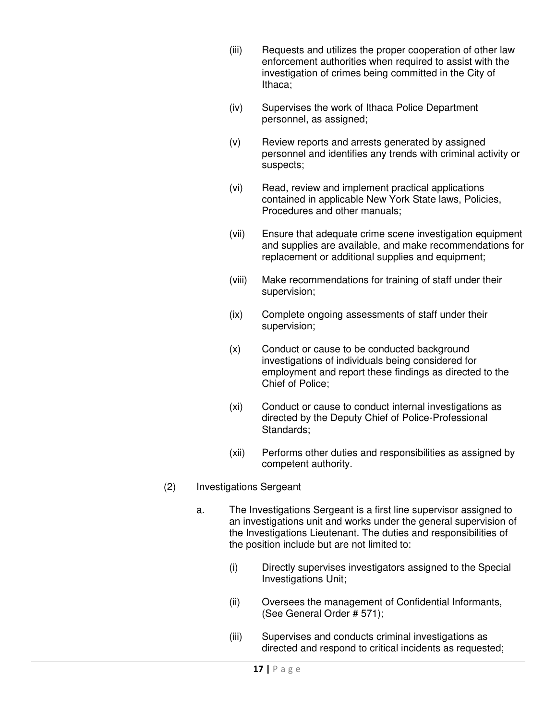- (iii) Requests and utilizes the proper cooperation of other law enforcement authorities when required to assist with the investigation of crimes being committed in the City of Ithaca;
- (iv) Supervises the work of Ithaca Police Department personnel, as assigned;
- (v) Review reports and arrests generated by assigned personnel and identifies any trends with criminal activity or suspects;
- (vi) Read, review and implement practical applications contained in applicable New York State laws, Policies, Procedures and other manuals;
- (vii) Ensure that adequate crime scene investigation equipment and supplies are available, and make recommendations for replacement or additional supplies and equipment;
- (viii) Make recommendations for training of staff under their supervision;
- (ix) Complete ongoing assessments of staff under their supervision;
- (x) Conduct or cause to be conducted background investigations of individuals being considered for employment and report these findings as directed to the Chief of Police;
- (xi) Conduct or cause to conduct internal investigations as directed by the Deputy Chief of Police-Professional Standards;
- (xii) Performs other duties and responsibilities as assigned by competent authority.
- (2) Investigations Sergeant
	- a. The Investigations Sergeant is a first line supervisor assigned to an investigations unit and works under the general supervision of the Investigations Lieutenant. The duties and responsibilities of the position include but are not limited to:
		- (i) Directly supervises investigators assigned to the Special Investigations Unit;
		- (ii) Oversees the management of Confidential Informants, (See General Order # 571);
		- (iii) Supervises and conducts criminal investigations as directed and respond to critical incidents as requested;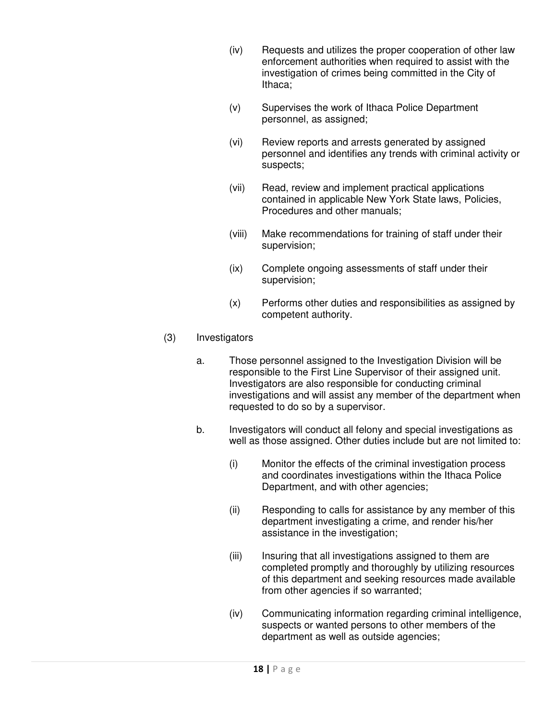- (iv) Requests and utilizes the proper cooperation of other law enforcement authorities when required to assist with the investigation of crimes being committed in the City of Ithaca;
- (v) Supervises the work of Ithaca Police Department personnel, as assigned;
- (vi) Review reports and arrests generated by assigned personnel and identifies any trends with criminal activity or suspects;
- (vii) Read, review and implement practical applications contained in applicable New York State laws, Policies, Procedures and other manuals;
- (viii) Make recommendations for training of staff under their supervision;
- (ix) Complete ongoing assessments of staff under their supervision;
- (x) Performs other duties and responsibilities as assigned by competent authority.

## (3) Investigators

- a. Those personnel assigned to the Investigation Division will be responsible to the First Line Supervisor of their assigned unit. Investigators are also responsible for conducting criminal investigations and will assist any member of the department when requested to do so by a supervisor.
- b. Investigators will conduct all felony and special investigations as well as those assigned. Other duties include but are not limited to:
	- (i) Monitor the effects of the criminal investigation process and coordinates investigations within the Ithaca Police Department, and with other agencies;
	- (ii) Responding to calls for assistance by any member of this department investigating a crime, and render his/her assistance in the investigation;
	- (iii) Insuring that all investigations assigned to them are completed promptly and thoroughly by utilizing resources of this department and seeking resources made available from other agencies if so warranted;
	- (iv) Communicating information regarding criminal intelligence, suspects or wanted persons to other members of the department as well as outside agencies;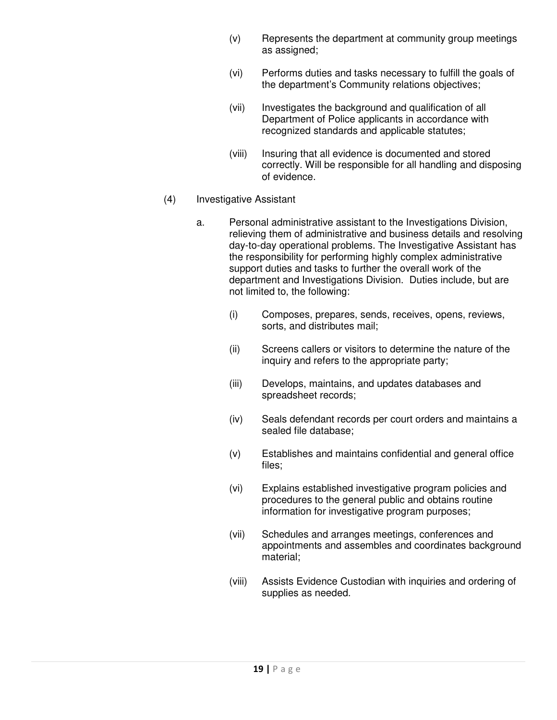- (v) Represents the department at community group meetings as assigned;
- (vi) Performs duties and tasks necessary to fulfill the goals of the department's Community relations objectives;
- (vii) Investigates the background and qualification of all Department of Police applicants in accordance with recognized standards and applicable statutes;
- (viii) Insuring that all evidence is documented and stored correctly. Will be responsible for all handling and disposing of evidence.

## (4) Investigative Assistant

- a. Personal administrative assistant to the Investigations Division, relieving them of administrative and business details and resolving day-to-day operational problems. The Investigative Assistant has the responsibility for performing highly complex administrative support duties and tasks to further the overall work of the department and Investigations Division. Duties include, but are not limited to, the following:
	- (i) Composes, prepares, sends, receives, opens, reviews, sorts, and distributes mail;
	- (ii) Screens callers or visitors to determine the nature of the inquiry and refers to the appropriate party;
	- (iii) Develops, maintains, and updates databases and spreadsheet records;
	- (iv) Seals defendant records per court orders and maintains a sealed file database;
	- (v) Establishes and maintains confidential and general office files;
	- (vi) Explains established investigative program policies and procedures to the general public and obtains routine information for investigative program purposes;
	- (vii) Schedules and arranges meetings, conferences and appointments and assembles and coordinates background material;
	- (viii) Assists Evidence Custodian with inquiries and ordering of supplies as needed.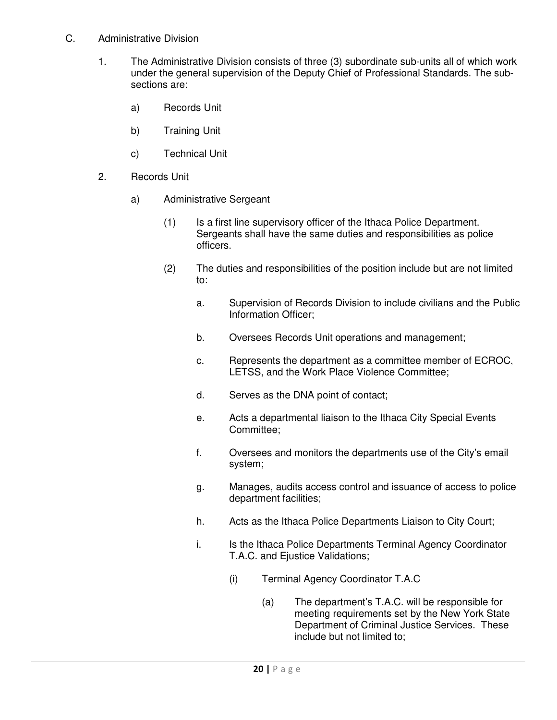- C. Administrative Division
	- 1. The Administrative Division consists of three (3) subordinate sub-units all of which work under the general supervision of the Deputy Chief of Professional Standards. The subsections are:
		- a) Records Unit
		- b) Training Unit
		- c) Technical Unit
	- 2. Records Unit
		- a) Administrative Sergeant
			- (1) Is a first line supervisory officer of the Ithaca Police Department. Sergeants shall have the same duties and responsibilities as police officers.
			- (2) The duties and responsibilities of the position include but are not limited to:
				- a. Supervision of Records Division to include civilians and the Public Information Officer;
				- b. Oversees Records Unit operations and management;
				- c. Represents the department as a committee member of ECROC, LETSS, and the Work Place Violence Committee;
				- d. Serves as the DNA point of contact;
				- e. Acts a departmental liaison to the Ithaca City Special Events Committee;
				- f. Oversees and monitors the departments use of the City's email system;
				- g. Manages, audits access control and issuance of access to police department facilities;
				- h. Acts as the Ithaca Police Departments Liaison to City Court;
				- i. Is the Ithaca Police Departments Terminal Agency Coordinator T.A.C. and Ejustice Validations;
					- (i) Terminal Agency Coordinator T.A.C
						- (a) The department's T.A.C. will be responsible for meeting requirements set by the New York State Department of Criminal Justice Services. These include but not limited to;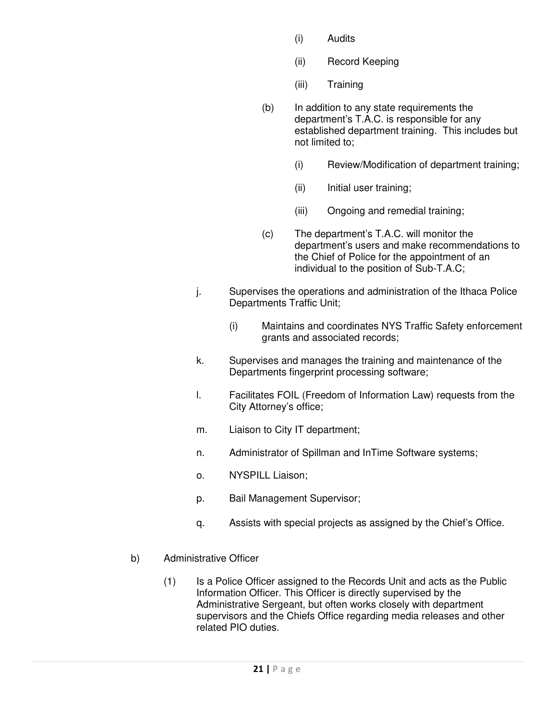- (i) Audits
- (ii) Record Keeping
- (iii) Training
- (b) In addition to any state requirements the department's T.A.C. is responsible for any established department training. This includes but not limited to;
	- (i) Review/Modification of department training;
	- (ii) Initial user training;
	- (iii) Ongoing and remedial training;
- (c) The department's T.A.C. will monitor the department's users and make recommendations to the Chief of Police for the appointment of an individual to the position of Sub-T.A.C;
- j. Supervises the operations and administration of the Ithaca Police Departments Traffic Unit;
	- (i) Maintains and coordinates NYS Traffic Safety enforcement grants and associated records;
- k. Supervises and manages the training and maintenance of the Departments fingerprint processing software;
- l. Facilitates FOIL (Freedom of Information Law) requests from the City Attorney's office;
- m. Liaison to City IT department;
- n. Administrator of Spillman and InTime Software systems;
- o. NYSPILL Liaison;
- p. Bail Management Supervisor;
- q. Assists with special projects as assigned by the Chief's Office.
- b) Administrative Officer
	- (1) Is a Police Officer assigned to the Records Unit and acts as the Public Information Officer. This Officer is directly supervised by the Administrative Sergeant, but often works closely with department supervisors and the Chiefs Office regarding media releases and other related PIO duties.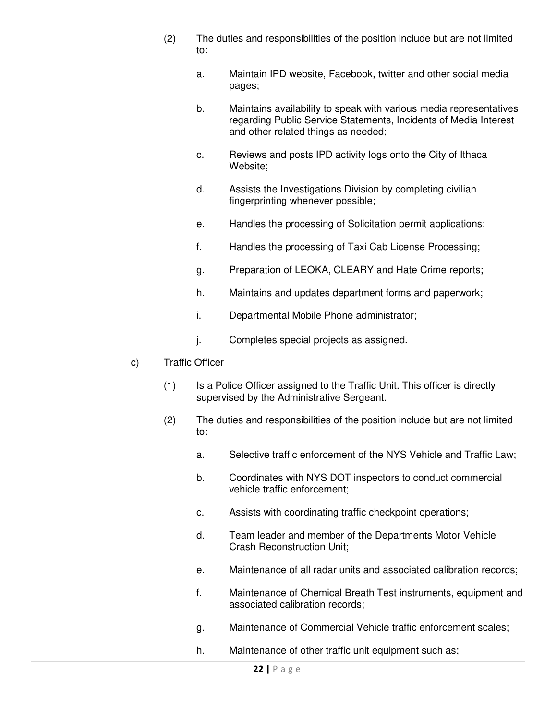- (2) The duties and responsibilities of the position include but are not limited to:
	- a. Maintain IPD website, Facebook, twitter and other social media pages;
	- b. Maintains availability to speak with various media representatives regarding Public Service Statements, Incidents of Media Interest and other related things as needed;
	- c. Reviews and posts IPD activity logs onto the City of Ithaca Website;
	- d. Assists the Investigations Division by completing civilian fingerprinting whenever possible;
	- e. Handles the processing of Solicitation permit applications;
	- f. Handles the processing of Taxi Cab License Processing;
	- g. Preparation of LEOKA, CLEARY and Hate Crime reports;
	- h. Maintains and updates department forms and paperwork;
	- i. Departmental Mobile Phone administrator;
	- j. Completes special projects as assigned.
- c) Traffic Officer
	- (1) Is a Police Officer assigned to the Traffic Unit. This officer is directly supervised by the Administrative Sergeant.
	- (2) The duties and responsibilities of the position include but are not limited to:
		- a. Selective traffic enforcement of the NYS Vehicle and Traffic Law;
		- b. Coordinates with NYS DOT inspectors to conduct commercial vehicle traffic enforcement;
		- c. Assists with coordinating traffic checkpoint operations;
		- d. Team leader and member of the Departments Motor Vehicle Crash Reconstruction Unit;
		- e. Maintenance of all radar units and associated calibration records;
		- f. Maintenance of Chemical Breath Test instruments, equipment and associated calibration records;
		- g. Maintenance of Commercial Vehicle traffic enforcement scales;
		- h. Maintenance of other traffic unit equipment such as;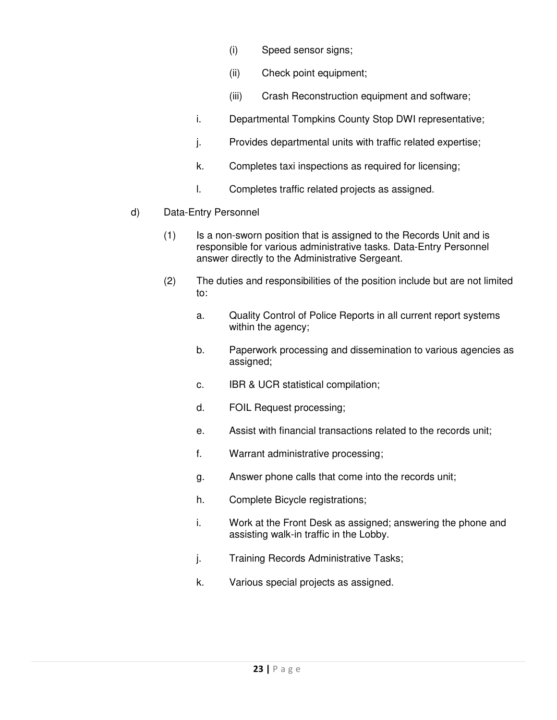- (i) Speed sensor signs;
- (ii) Check point equipment;
- (iii) Crash Reconstruction equipment and software;
- i. Departmental Tompkins County Stop DWI representative;
- j. Provides departmental units with traffic related expertise;
- k. Completes taxi inspections as required for licensing;
- l. Completes traffic related projects as assigned.
- d) Data-Entry Personnel
	- (1) Is a non-sworn position that is assigned to the Records Unit and is responsible for various administrative tasks. Data-Entry Personnel answer directly to the Administrative Sergeant.
	- (2) The duties and responsibilities of the position include but are not limited to:
		- a. Quality Control of Police Reports in all current report systems within the agency;
		- b. Paperwork processing and dissemination to various agencies as assigned;
		- c. IBR & UCR statistical compilation;
		- d. FOIL Request processing;
		- e. Assist with financial transactions related to the records unit;
		- f. Warrant administrative processing;
		- g. Answer phone calls that come into the records unit;
		- h. Complete Bicycle registrations;
		- i. Work at the Front Desk as assigned; answering the phone and assisting walk-in traffic in the Lobby.
		- j. Training Records Administrative Tasks;
		- k. Various special projects as assigned.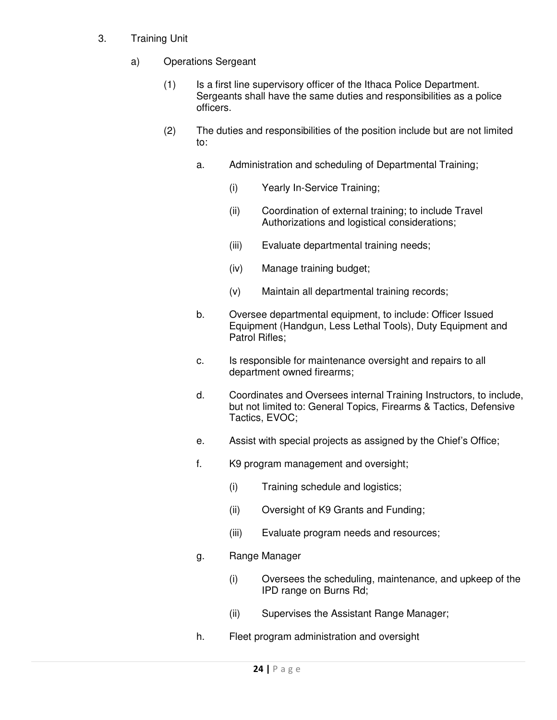- 3. Training Unit
	- a) Operations Sergeant
		- (1) Is a first line supervisory officer of the Ithaca Police Department. Sergeants shall have the same duties and responsibilities as a police officers.
		- (2) The duties and responsibilities of the position include but are not limited to:
			- a. Administration and scheduling of Departmental Training;
				- (i) Yearly In-Service Training;
				- (ii) Coordination of external training; to include Travel Authorizations and logistical considerations;
				- (iii) Evaluate departmental training needs;
				- (iv) Manage training budget;
				- (v) Maintain all departmental training records;
			- b. Oversee departmental equipment, to include: Officer Issued Equipment (Handgun, Less Lethal Tools), Duty Equipment and Patrol Rifles;
			- c. Is responsible for maintenance oversight and repairs to all department owned firearms;
			- d. Coordinates and Oversees internal Training Instructors, to include, but not limited to: General Topics, Firearms & Tactics, Defensive Tactics, EVOC;
			- e. Assist with special projects as assigned by the Chief's Office;
			- f. K9 program management and oversight;
				- (i) Training schedule and logistics;
				- (ii) Oversight of K9 Grants and Funding;
				- (iii) Evaluate program needs and resources;
			- g. Range Manager
				- (i) Oversees the scheduling, maintenance, and upkeep of the IPD range on Burns Rd;
				- (ii) Supervises the Assistant Range Manager;
			- h. Fleet program administration and oversight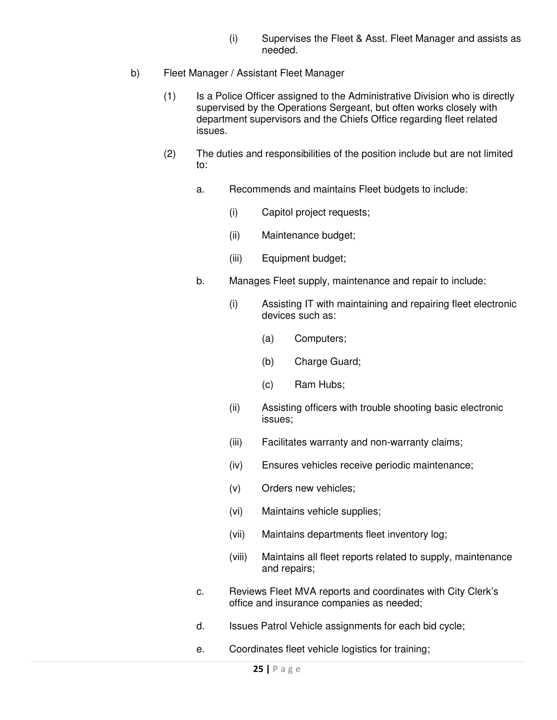- (i) Supervises the Fleet & Asst. Fleet Manager and assists as needed.
- b) Fleet Manager / Assistant Fleet Manager
	- (1) Is a Police Officer assigned to the Administrative Division who is directly supervised by the Operations Sergeant, but often works closely with department supervisors and the Chiefs Office regarding fleet related issues.
	- (2) The duties and responsibilities of the position include but are not limited to:
		- a. Recommends and maintains Fleet budgets to include:
			- (i) Capitol project requests;
			- (ii) Maintenance budget;
			- (iii) Equipment budget;
		- b. Manages Fleet supply, maintenance and repair to include:
			- (i) Assisting IT with maintaining and repairing fleet electronic devices such as:
				- (a) Computers;
				- (b) Charge Guard;
				- (c) Ram Hubs;
			- (ii) Assisting officers with trouble shooting basic electronic issues;
			- (iii) Facilitates warranty and non-warranty claims;
			- (iv) Ensures vehicles receive periodic maintenance;
			- (v) Orders new vehicles;
			- (vi) Maintains vehicle supplies;
			- (vii) Maintains departments fleet inventory log;
			- (viii) Maintains all fleet reports related to supply, maintenance and repairs;
		- c. Reviews Fleet MVA reports and coordinates with City Clerk's office and insurance companies as needed;
		- d. Issues Patrol Vehicle assignments for each bid cycle;
		- e. Coordinates fleet vehicle logistics for training;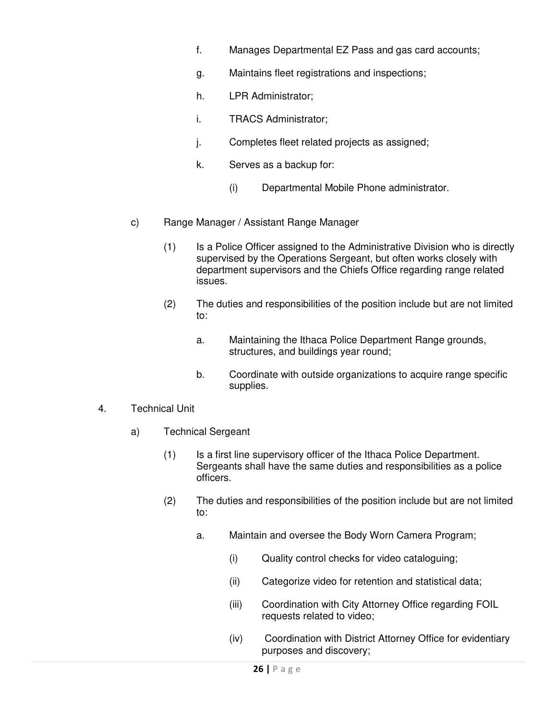- f. Manages Departmental EZ Pass and gas card accounts;
- g. Maintains fleet registrations and inspections;
- h. LPR Administrator;
- i. TRACS Administrator;
- j. Completes fleet related projects as assigned;
- k. Serves as a backup for:
	- (i) Departmental Mobile Phone administrator.
- c) Range Manager / Assistant Range Manager
	- (1) Is a Police Officer assigned to the Administrative Division who is directly supervised by the Operations Sergeant, but often works closely with department supervisors and the Chiefs Office regarding range related issues.
	- (2) The duties and responsibilities of the position include but are not limited to:
		- a. Maintaining the Ithaca Police Department Range grounds, structures, and buildings year round;
		- b. Coordinate with outside organizations to acquire range specific supplies.
- 4. Technical Unit
	- a) Technical Sergeant
		- (1) Is a first line supervisory officer of the Ithaca Police Department. Sergeants shall have the same duties and responsibilities as a police officers.
		- (2) The duties and responsibilities of the position include but are not limited to:
			- a. Maintain and oversee the Body Worn Camera Program;
				- (i) Quality control checks for video cataloguing;
				- (ii) Categorize video for retention and statistical data;
				- (iii) Coordination with City Attorney Office regarding FOIL requests related to video;
				- (iv) Coordination with District Attorney Office for evidentiary purposes and discovery;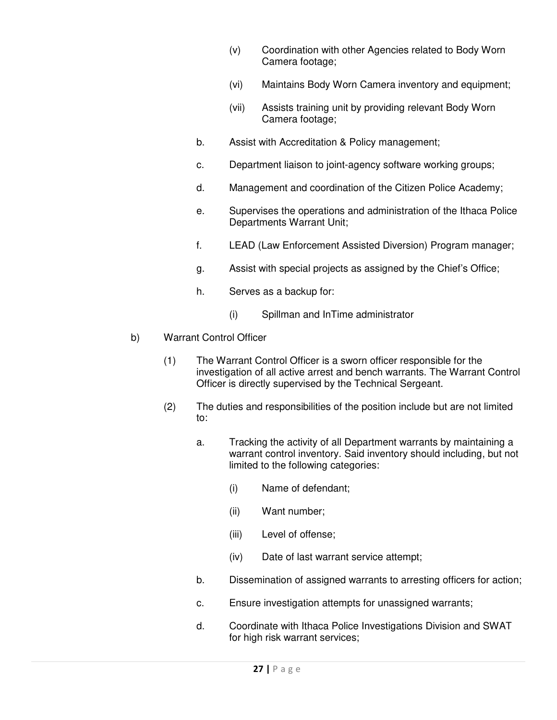- (v) Coordination with other Agencies related to Body Worn Camera footage;
- (vi) Maintains Body Worn Camera inventory and equipment;
- (vii) Assists training unit by providing relevant Body Worn Camera footage;
- b. Assist with Accreditation & Policy management;
- c. Department liaison to joint-agency software working groups;
- d. Management and coordination of the Citizen Police Academy;
- e. Supervises the operations and administration of the Ithaca Police Departments Warrant Unit;
- f. LEAD (Law Enforcement Assisted Diversion) Program manager;
- g. Assist with special projects as assigned by the Chief's Office;
- h. Serves as a backup for:
	- (i) Spillman and InTime administrator
- b) Warrant Control Officer
	- (1) The Warrant Control Officer is a sworn officer responsible for the investigation of all active arrest and bench warrants. The Warrant Control Officer is directly supervised by the Technical Sergeant.
	- (2) The duties and responsibilities of the position include but are not limited to:
		- a. Tracking the activity of all Department warrants by maintaining a warrant control inventory. Said inventory should including, but not limited to the following categories:
			- (i) Name of defendant;
			- (ii) Want number;
			- (iii) Level of offense;
			- (iv) Date of last warrant service attempt;
		- b. Dissemination of assigned warrants to arresting officers for action;
		- c. Ensure investigation attempts for unassigned warrants;
		- d. Coordinate with Ithaca Police Investigations Division and SWAT for high risk warrant services;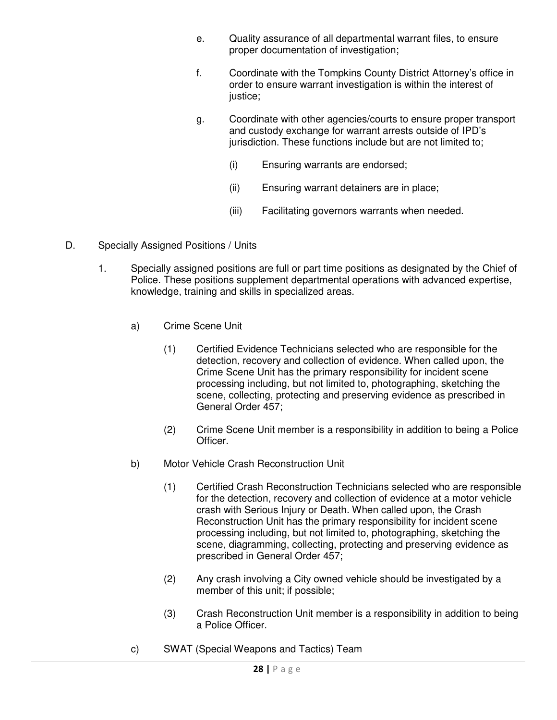- e. Quality assurance of all departmental warrant files, to ensure proper documentation of investigation;
- f. Coordinate with the Tompkins County District Attorney's office in order to ensure warrant investigation is within the interest of justice:
- g. Coordinate with other agencies/courts to ensure proper transport and custody exchange for warrant arrests outside of IPD's jurisdiction. These functions include but are not limited to:
	- (i) Ensuring warrants are endorsed;
	- (ii) Ensuring warrant detainers are in place;
	- (iii) Facilitating governors warrants when needed.
- D. Specially Assigned Positions / Units
	- 1. Specially assigned positions are full or part time positions as designated by the Chief of Police. These positions supplement departmental operations with advanced expertise, knowledge, training and skills in specialized areas.
		- a) Crime Scene Unit
			- (1) Certified Evidence Technicians selected who are responsible for the detection, recovery and collection of evidence. When called upon, the Crime Scene Unit has the primary responsibility for incident scene processing including, but not limited to, photographing, sketching the scene, collecting, protecting and preserving evidence as prescribed in General Order 457;
			- (2) Crime Scene Unit member is a responsibility in addition to being a Police Officer.
		- b) Motor Vehicle Crash Reconstruction Unit
			- (1) Certified Crash Reconstruction Technicians selected who are responsible for the detection, recovery and collection of evidence at a motor vehicle crash with Serious Injury or Death. When called upon, the Crash Reconstruction Unit has the primary responsibility for incident scene processing including, but not limited to, photographing, sketching the scene, diagramming, collecting, protecting and preserving evidence as prescribed in General Order 457;
			- (2) Any crash involving a City owned vehicle should be investigated by a member of this unit; if possible;
			- (3) Crash Reconstruction Unit member is a responsibility in addition to being a Police Officer.
		- c) SWAT (Special Weapons and Tactics) Team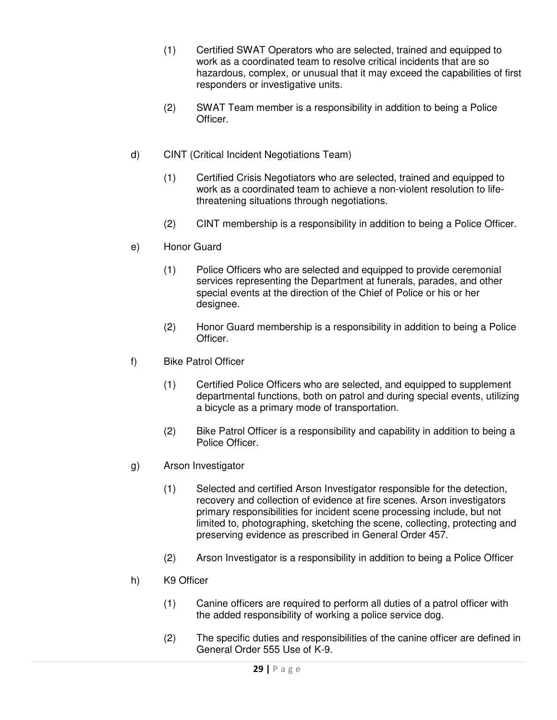- (1) Certified SWAT Operators who are selected, trained and equipped to work as a coordinated team to resolve critical incidents that are so hazardous, complex, or unusual that it may exceed the capabilities of first responders or investigative units.
- (2) SWAT Team member is a responsibility in addition to being a Police Officer.
- d) CINT (Critical Incident Negotiations Team)
	- (1) Certified Crisis Negotiators who are selected, trained and equipped to work as a coordinated team to achieve a non-violent resolution to lifethreatening situations through negotiations.
	- (2) CINT membership is a responsibility in addition to being a Police Officer.
- e) Honor Guard
	- (1) Police Officers who are selected and equipped to provide ceremonial services representing the Department at funerals, parades, and other special events at the direction of the Chief of Police or his or her designee.
	- (2) Honor Guard membership is a responsibility in addition to being a Police Officer.
- f) Bike Patrol Officer
	- (1) Certified Police Officers who are selected, and equipped to supplement departmental functions, both on patrol and during special events, utilizing a bicycle as a primary mode of transportation.
	- (2) Bike Patrol Officer is a responsibility and capability in addition to being a Police Officer.
- g) Arson Investigator
	- (1) Selected and certified Arson Investigator responsible for the detection, recovery and collection of evidence at fire scenes. Arson investigators primary responsibilities for incident scene processing include, but not limited to, photographing, sketching the scene, collecting, protecting and preserving evidence as prescribed in General Order 457.
	- (2) Arson Investigator is a responsibility in addition to being a Police Officer
- h) K9 Officer
	- (1) Canine officers are required to perform all duties of a patrol officer with the added responsibility of working a police service dog.
	- (2) The specific duties and responsibilities of the canine officer are defined in General Order 555 Use of K-9.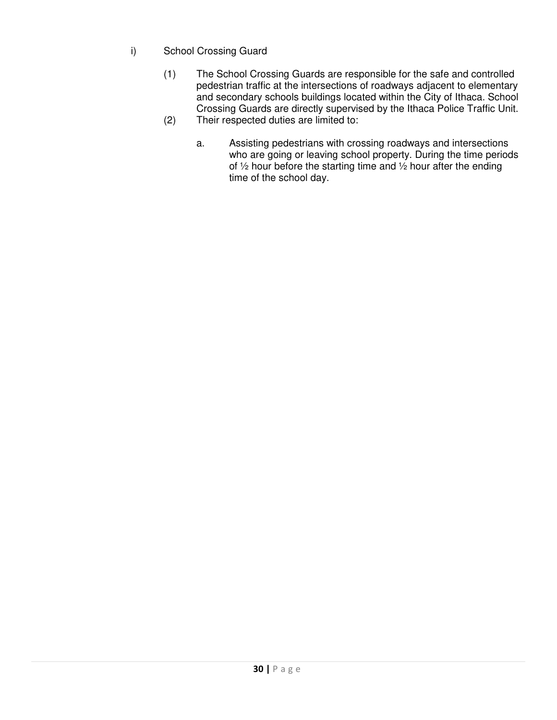- i) School Crossing Guard
	- (1) The School Crossing Guards are responsible for the safe and controlled pedestrian traffic at the intersections of roadways adjacent to elementary and secondary schools buildings located within the City of Ithaca. School Crossing Guards are directly supervised by the Ithaca Police Traffic Unit. (2) Their respected duties are limited to:
		- a. Assisting pedestrians with crossing roadways and intersections who are going or leaving school property. During the time periods of ½ hour before the starting time and ½ hour after the ending time of the school day.